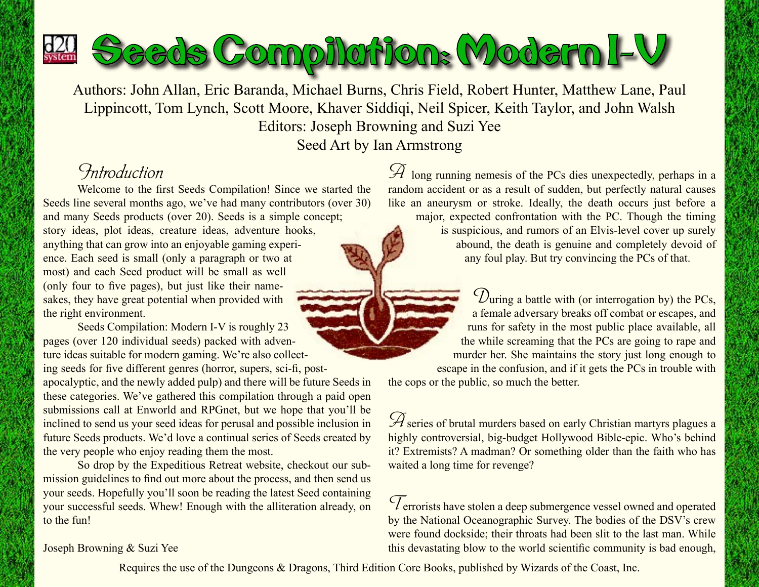

Authors: John Allan, Eric Baranda, Michael Burns, Chris Field, Robert Hunter, Matthew Lane, Paul Lippincott, Tom Lynch, Scott Moore, Khaver Siddiqi, Neil Spicer, Keith Taylor, and John Walsh Editors: Joseph Browning and Suzi Yee Seed Art by Ian Armstrong

## *Introduction*

Welcome to the first Seeds Compilation! Since we started the Seeds line several months ago, we've had many contributors (over 30) and many Seeds products (over 20). Seeds is a simple concept; story ideas, plot ideas, creature ideas, adventure hooks, anything that can grow into an enjoyable gaming experience. Each seed is small (only a paragraph or two at most) and each Seed product will be small as well (only four to five pages), but just like their namesakes, they have great potential when provided with the right environment.

Seeds Compilation: Modern I-V is roughly 23 pages (over 120 individual seeds) packed with adventure ideas suitable for modern gaming. We're also collecting seeds for five different genres (horror, supers, sci-fi, post-

apocalyptic, and the newly added pulp) and there will be future Seeds in these categories. We've gathered this compilation through a paid open submissions call at Enworld and RPGnet, but we hope that you'll be inclined to send us your seed ideas for perusal and possible inclusion in future Seeds products. We'd love a continual series of Seeds created by the very people who enjoy reading them the most.

So drop by the Expeditious Retreat website, checkout our submission guidelines to find out more about the process, and then send us your seeds. Hopefully you'll soon be reading the latest Seed containing your successful seeds. Whew! Enough with the alliteration already, on to the fun!

*A* long running nemesis of the PCs dies unexpectedly, perhaps in a random accident or as a result of sudden, but perfectly natural causes like an aneurysm or stroke. Ideally, the death occurs just before a

major, expected confrontation with the PC. Though the timing is suspicious, and rumors of an Elvis-level cover up surely abound, the death is genuine and completely devoid of any foul play. But try convincing the PCs of that.

*D*uring a battle with (or interrogation by) the PCs, a female adversary breaks off combat or escapes, and runs for safety in the most public place available, all the while screaming that the PCs are going to rape and murder her. She maintains the story just long enough to escape in the confusion, and if it gets the PCs in trouble with

the cops or the public, so much the better.

 $\mathscr A$  series of brutal murders based on early Christian martyrs plagues a highly controversial, big-budget Hollywood Bible-epic. Who's behind it? Extremists? A madman? Or something older than the faith who has waited a long time for revenge?

*T*errorists have stolen a deep submergence vessel owned and operated by the National Oceanographic Survey. The bodies of the DSV's crew were found dockside; their throats had been slit to the last man. While this devastating blow to the world scientific community is bad enough,

Joseph Browning & Suzi Yee

Requires the use of the Dungeons & Dragons, Third Edition Core Books, published by Wizards of the Coast, Inc.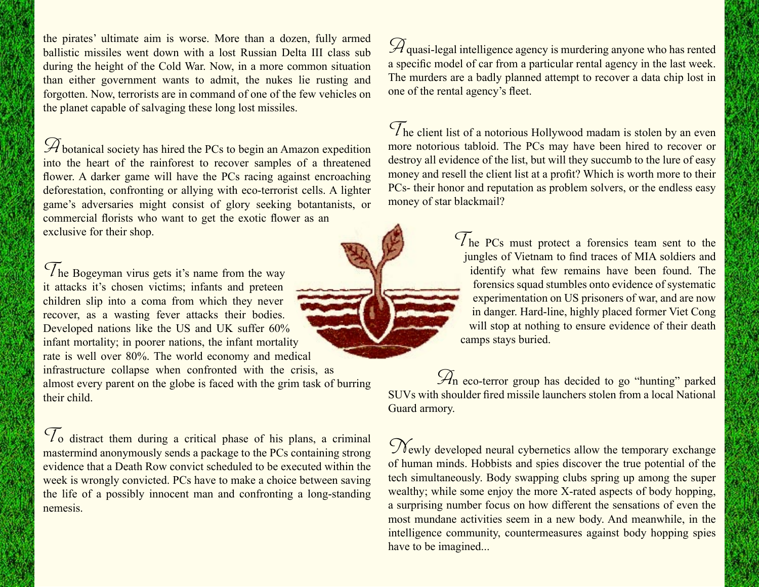the pirates' ultimate aim is worse. More than a dozen, fully armed ballistic missiles went down with a lost Russian Delta III class sub during the height of the Cold War. Now, in a more common situation than either government wants to admit, the nukes lie rusting and forgotten. Now, terrorists are in command of one of the few vehicles on the planet capable of salvaging these long lost missiles.

*A* botanical society has hired the PCs to begin an Amazon expedition into the heart of the rainforest to recover samples of a threatened flower. A darker game will have the PCs racing against encroaching deforestation, confronting or allying with eco-terrorist cells. A lighter game's adversaries might consist of glory seeking botantanists, or commercial florists who want to get the exotic flower as an exclusive for their shop.

*T*he Bogeyman virus gets it's name from the way it attacks it's chosen victims; infants and preteen children slip into a coma from which they never recover, as a wasting fever attacks their bodies. Developed nations like the US and UK suffer 60% infant mortality; in poorer nations, the infant mortality rate is well over 80%. The world economy and medical infrastructure collapse when confronted with the crisis, as almost every parent on the globe is faced with the grim task of burring their child.

*T*o distract them during a critical phase of his plans, a criminal mastermind anonymously sends a package to the PCs containing strong evidence that a Death Row convict scheduled to be executed within the week is wrongly convicted. PCs have to make a choice between saving the life of a possibly innocent man and confronting a long-standing nemesis.

 $\mathscr A$ quasi-legal intelligence agency is murdering anyone who has rented a specific model of car from a particular rental agency in the last week. The murders are a badly planned attempt to recover a data chip lost in one of the rental agency's fleet.

*T*he client list of a notorious Hollywood madam is stolen by an even more notorious tabloid. The PCs may have been hired to recover or destroy all evidence of the list, but will they succumb to the lure of easy money and resell the client list at a profit? Which is worth more to their PCs- their honor and reputation as problem solvers, or the endless easy money of star blackmail?

> *T*he PCs must protect a forensics team sent to the jungles of Vietnam to find traces of MIA soldiers and identify what few remains have been found. The forensics squad stumbles onto evidence of systematic experimentation on US prisoners of war, and are now in danger. Hard-line, highly placed former Viet Cong will stop at nothing to ensure evidence of their death camps stays buried.

*A*n eco-terror group has decided to go "hunting" parked SUVs with shoulder fired missile launchers stolen from a local National Guard armory.

 $\mathcal{N}_{\text{ewly developed neural cybernetics allow the temporary exchange}$ of human minds. Hobbists and spies discover the true potential of the tech simultaneously. Body swapping clubs spring up among the super wealthy; while some enjoy the more X-rated aspects of body hopping, a surprising number focus on how different the sensations of even the most mundane activities seem in a new body. And meanwhile, in the intelligence community, countermeasures against body hopping spies have to be imagined...